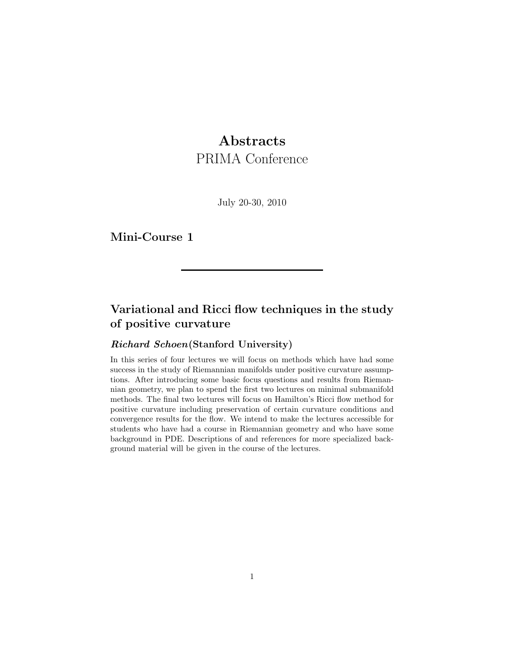# **Abstracts**

PRIMA Conference

July 20-30, 2010

Mini-Course 1

# Variational and Ricci flow techniques in the study of positive curvature

### Richard Schoen(Stanford University)

In this series of four lectures we will focus on methods which have had some success in the study of Riemannian manifolds under positive curvature assumptions. After introducing some basic focus questions and results from Riemannian geometry, we plan to spend the first two lectures on minimal submanifold methods. The final two lectures will focus on Hamilton's Ricci flow method for positive curvature including preservation of certain curvature conditions and convergence results for the flow. We intend to make the lectures accessible for students who have had a course in Riemannian geometry and who have some background in PDE. Descriptions of and references for more specialized background material will be given in the course of the lectures.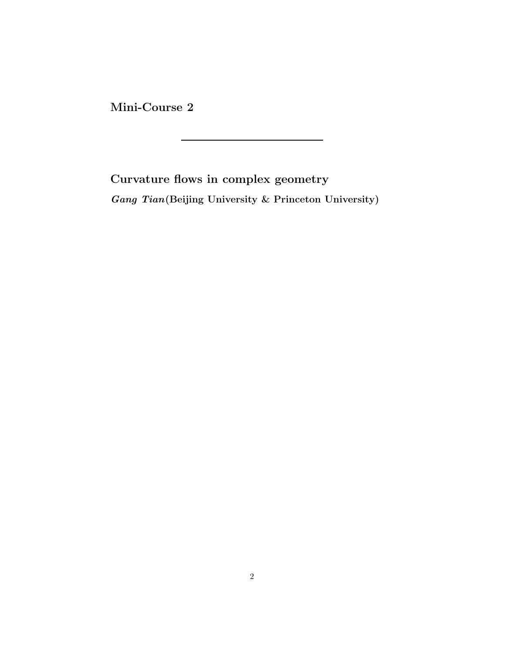Mini-Course 2

Curvature flows in complex geometry Gang Tian(Beijing University & Princeton University)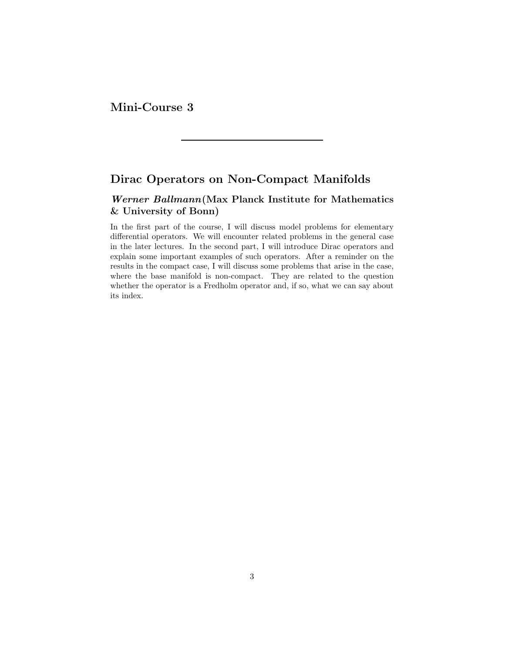Mini-Course 3

## Dirac Operators on Non-Compact Manifolds

### Werner Ballmann(Max Planck Institute for Mathematics & University of Bonn)

In the first part of the course, I will discuss model problems for elementary differential operators. We will encounter related problems in the general case in the later lectures. In the second part, I will introduce Dirac operators and explain some important examples of such operators. After a reminder on the results in the compact case, I will discuss some problems that arise in the case, where the base manifold is non-compact. They are related to the question whether the operator is a Fredholm operator and, if so, what we can say about its index.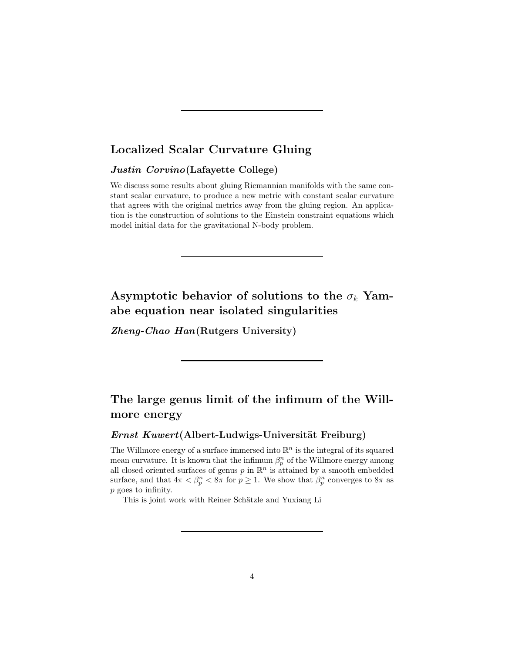## Localized Scalar Curvature Gluing

#### Justin Corvino(Lafayette College)

We discuss some results about gluing Riemannian manifolds with the same constant scalar curvature, to produce a new metric with constant scalar curvature that agrees with the original metrics away from the gluing region. An application is the construction of solutions to the Einstein constraint equations which model initial data for the gravitational N-body problem.

# Asymptotic behavior of solutions to the  $\sigma_k$  Yamabe equation near isolated singularities

Zheng-Chao Han(Rutgers University)

## The large genus limit of the infimum of the Willmore energy

### $Ernst\ Kuwert(Albert-Ludwigs-Universität Freiburg)$

The Willmore energy of a surface immersed into  $\mathbb{R}^n$  is the integral of its squared mean curvature. It is known that the infimum  $\beta_p^n$  of the Willmore energy among all closed oriented surfaces of genus  $p$  in  $\mathbb{R}^n$  is attained by a smooth embedded surface, and that  $4\pi < \beta_p^n < 8\pi$  for  $p \ge 1$ . We show that  $\beta_p^n$  converges to  $8\pi$  as p goes to infinity.

This is joint work with Reiner Schätzle and Yuxiang Li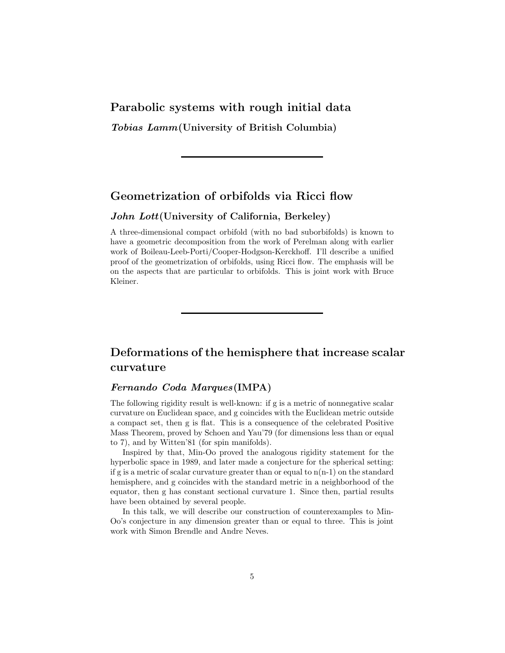## Parabolic systems with rough initial data

Tobias Lamm(University of British Columbia)

## Geometrization of orbifolds via Ricci flow

#### John Lott(University of California, Berkeley)

A three-dimensional compact orbifold (with no bad suborbifolds) is known to have a geometric decomposition from the work of Perelman along with earlier work of Boileau-Leeb-Porti/Cooper-Hodgson-Kerckhoff. I'll describe a unified proof of the geometrization of orbifolds, using Ricci flow. The emphasis will be on the aspects that are particular to orbifolds. This is joint work with Bruce Kleiner.

## Deformations of the hemisphere that increase scalar curvature

#### Fernando Coda Marques(IMPA)

The following rigidity result is well-known: if g is a metric of nonnegative scalar curvature on Euclidean space, and g coincides with the Euclidean metric outside a compact set, then g is flat. This is a consequence of the celebrated Positive Mass Theorem, proved by Schoen and Yau'79 (for dimensions less than or equal to 7), and by Witten'81 (for spin manifolds).

Inspired by that, Min-Oo proved the analogous rigidity statement for the hyperbolic space in 1989, and later made a conjecture for the spherical setting: if g is a metric of scalar curvature greater than or equal to  $n(n-1)$  on the standard hemisphere, and g coincides with the standard metric in a neighborhood of the equator, then g has constant sectional curvature 1. Since then, partial results have been obtained by several people.

In this talk, we will describe our construction of counterexamples to Min-Oo's conjecture in any dimension greater than or equal to three. This is joint work with Simon Brendle and Andre Neves.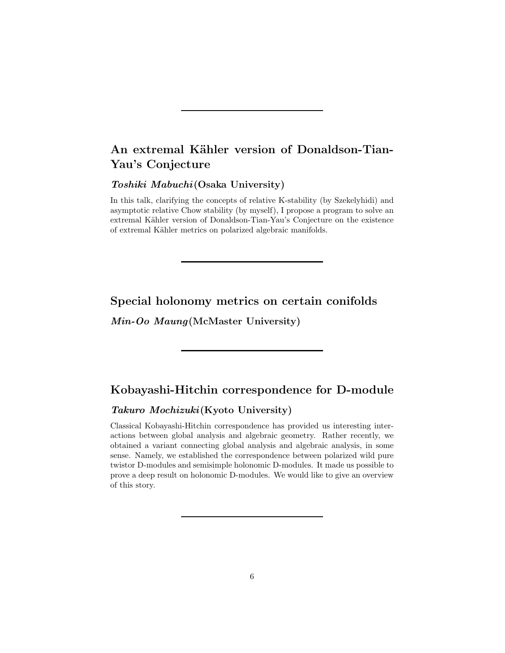# An extremal Kähler version of Donaldson-Tian-Yau's Conjecture

#### Toshiki Mabuchi (Osaka University)

In this talk, clarifying the concepts of relative K-stability (by Szekelyhidi) and asymptotic relative Chow stability (by myself), I propose a program to solve an extremal Kähler version of Donaldson-Tian-Yau's Conjecture on the existence of extremal Kähler metrics on polarized algebraic manifolds.

### Special holonomy metrics on certain conifolds

Min-Oo Maung(McMaster University)

### Kobayashi-Hitchin correspondence for D-module

### Takuro Mochizuki (Kyoto University)

Classical Kobayashi-Hitchin correspondence has provided us interesting interactions between global analysis and algebraic geometry. Rather recently, we obtained a variant connecting global analysis and algebraic analysis, in some sense. Namely, we established the correspondence between polarized wild pure twistor D-modules and semisimple holonomic D-modules. It made us possible to prove a deep result on holonomic D-modules. We would like to give an overview of this story.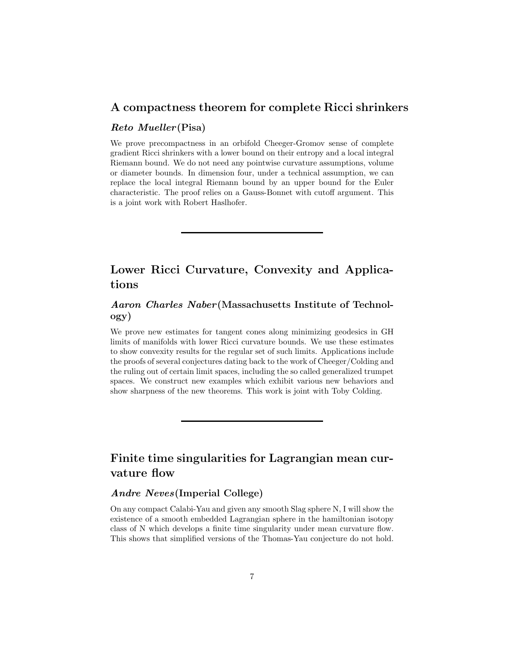### A compactness theorem for complete Ricci shrinkers

#### Reto Mueller(Pisa)

We prove precompactness in an orbifold Cheeger-Gromov sense of complete gradient Ricci shrinkers with a lower bound on their entropy and a local integral Riemann bound. We do not need any pointwise curvature assumptions, volume or diameter bounds. In dimension four, under a technical assumption, we can replace the local integral Riemann bound by an upper bound for the Euler characteristic. The proof relies on a Gauss-Bonnet with cutoff argument. This is a joint work with Robert Haslhofer.

## Lower Ricci Curvature, Convexity and Applications

### Aaron Charles Naber(Massachusetts Institute of Technology)

We prove new estimates for tangent cones along minimizing geodesics in GH limits of manifolds with lower Ricci curvature bounds. We use these estimates to show convexity results for the regular set of such limits. Applications include the proofs of several conjectures dating back to the work of Cheeger/Colding and the ruling out of certain limit spaces, including the so called generalized trumpet spaces. We construct new examples which exhibit various new behaviors and show sharpness of the new theorems. This work is joint with Toby Colding.

# Finite time singularities for Lagrangian mean curvature flow

### Andre Neves(Imperial College)

On any compact Calabi-Yau and given any smooth Slag sphere N, I will show the existence of a smooth embedded Lagrangian sphere in the hamiltonian isotopy class of N which develops a finite time singularity under mean curvature flow. This shows that simplified versions of the Thomas-Yau conjecture do not hold.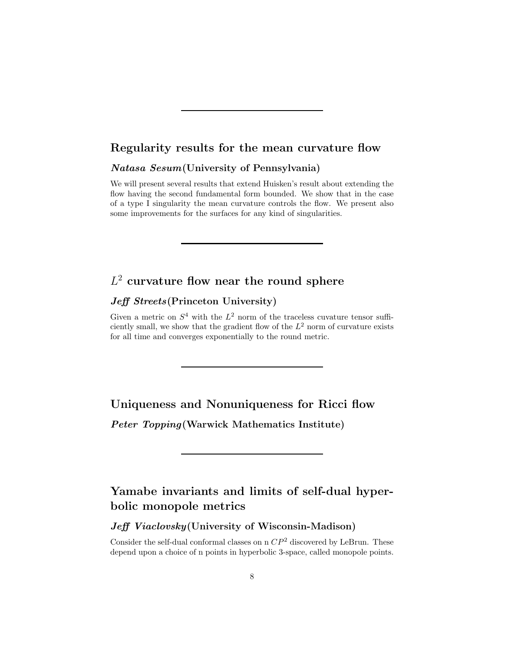## Regularity results for the mean curvature flow

#### Natasa Sesum(University of Pennsylvania)

We will present several results that extend Huisken's result about extending the flow having the second fundamental form bounded. We show that in the case of a type I singularity the mean curvature controls the flow. We present also some improvements for the surfaces for any kind of singularities.

# $L^2$  curvature flow near the round sphere

### Jeff Streets (Princeton University)

Given a metric on  $S^4$  with the  $L^2$  norm of the traceless cuvature tensor sufficiently small, we show that the gradient flow of the  $L^2$  norm of curvature exists for all time and converges exponentially to the round metric.

Uniqueness and Nonuniqueness for Ricci flow

Peter Topping(Warwick Mathematics Institute)

# Yamabe invariants and limits of self-dual hyperbolic monopole metrics

Jeff Viaclovsky (University of Wisconsin-Madison)

Consider the self-dual conformal classes on n  $\mathbb{CP}^2$  discovered by LeBrun. These depend upon a choice of n points in hyperbolic 3-space, called monopole points.